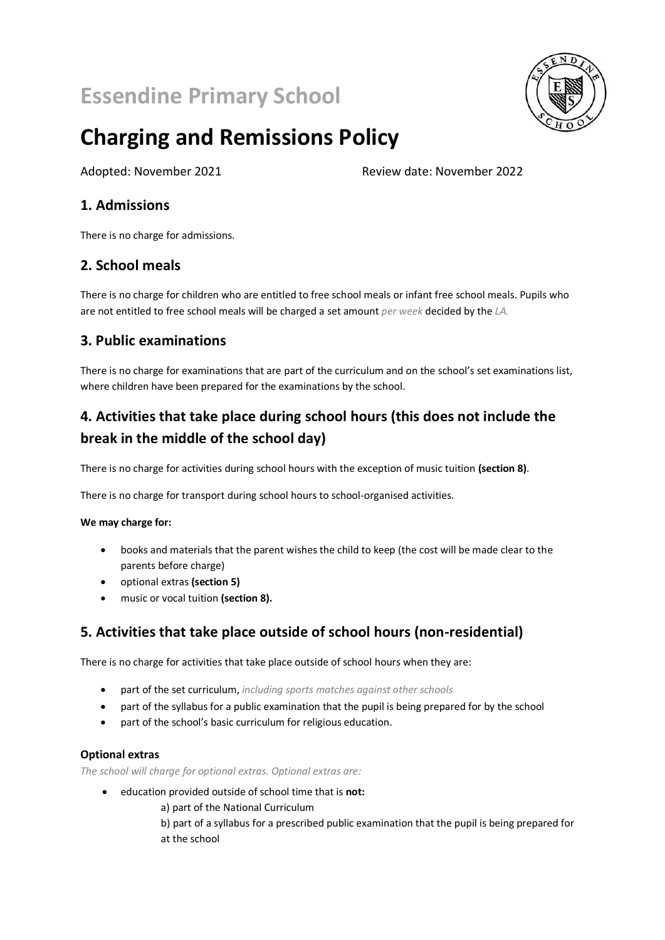# **Essendine Primary School**



# **Charging and Remissions Policy**

Adopted: November 2021 Review date: November 2022

# **1. Admissions**

There is no charge for admissions.

# **2. School meals**

There is no charge for children who are entitled to free school meals or infant free school meals. Pupils who are not entitled to free school meals will be charged a set amount *per week* decided by the *LA.*

# **3. Public examinations**

There is no charge for examinations that are part of the curriculum and on the school's set examinations list, where children have been prepared for the examinations by the school.

# **4. Activities that take place during school hours (this does not include the break in the middle of the school day)**

There is no charge for activities during school hours with the exception of music tuition **(section 8)**.

There is no charge for transport during school hours to school-organised activities.

#### **We may charge for:**

- books and materials that the parent wishes the child to keep (the cost will be made clear to the parents before charge)
- optional extras **(section 5)**
- music or vocal tuition **(section 8).**

# **5. Activities that take place outside of school hours (non-residential)**

There is no charge for activities that take place outside of school hours when they are:

- part of the set curriculum, *including sports matches against other schools*
- part of the syllabus for a public examination that the pupil is being prepared for by the school
- part of the school's basic curriculum for religious education.

#### **Optional extras**

*The school will charge for optional extras. Optional extras are:*

- education provided outside of school time that is **not:**
	- a) part of the National Curriculum
	- b) part of a syllabus for a prescribed public examination that the pupil is being prepared for at the school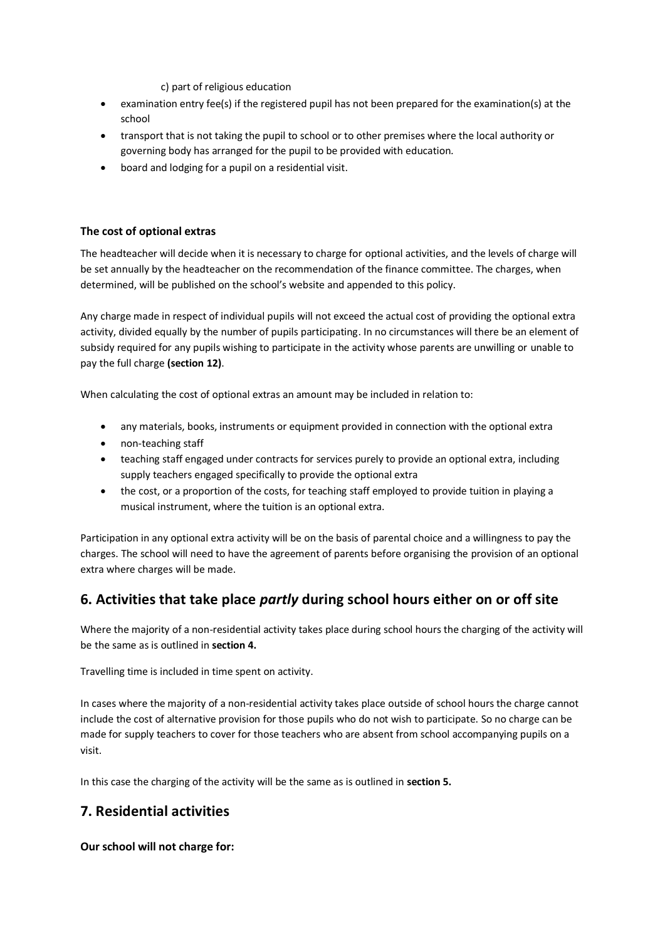c) part of religious education

- examination entry fee(s) if the registered pupil has not been prepared for the examination(s) at the school
- transport that is not taking the pupil to school or to other premises where the local authority or governing body has arranged for the pupil to be provided with education*.*
- board and lodging for a pupil on a residential visit.

#### **The cost of optional extras**

The headteacher will decide when it is necessary to charge for optional activities, and the levels of charge will be set annually by the headteacher on the recommendation of the finance committee. The charges, when determined, will be published on the school's website and appended to this policy.

Any charge made in respect of individual pupils will not exceed the actual cost of providing the optional extra activity, divided equally by the number of pupils participating. In no circumstances will there be an element of subsidy required for any pupils wishing to participate in the activity whose parents are unwilling or unable to pay the full charge **(section 12)**.

When calculating the cost of optional extras an amount may be included in relation to:

- any materials, books, instruments or equipment provided in connection with the optional extra
- non-teaching staff
- teaching staff engaged under contracts for services purely to provide an optional extra, including supply teachers engaged specifically to provide the optional extra
- the cost, or a proportion of the costs, for teaching staff employed to provide tuition in playing a musical instrument, where the tuition is an optional extra.

Participation in any optional extra activity will be on the basis of parental choice and a willingness to pay the charges. The school will need to have the agreement of parents before organising the provision of an optional extra where charges will be made.

# **6. Activities that take place** *partly* **during school hours either on or off site**

Where the majority of a non-residential activity takes place during school hours the charging of the activity will be the same as is outlined in **section 4.**

Travelling time is included in time spent on activity.

In cases where the majority of a non-residential activity takes place outside of school hours the charge cannot include the cost of alternative provision for those pupils who do not wish to participate. So no charge can be made for supply teachers to cover for those teachers who are absent from school accompanying pupils on a visit.

In this case the charging of the activity will be the same as is outlined in **section 5.**

# **7. Residential activities**

#### **Our school will not charge for:**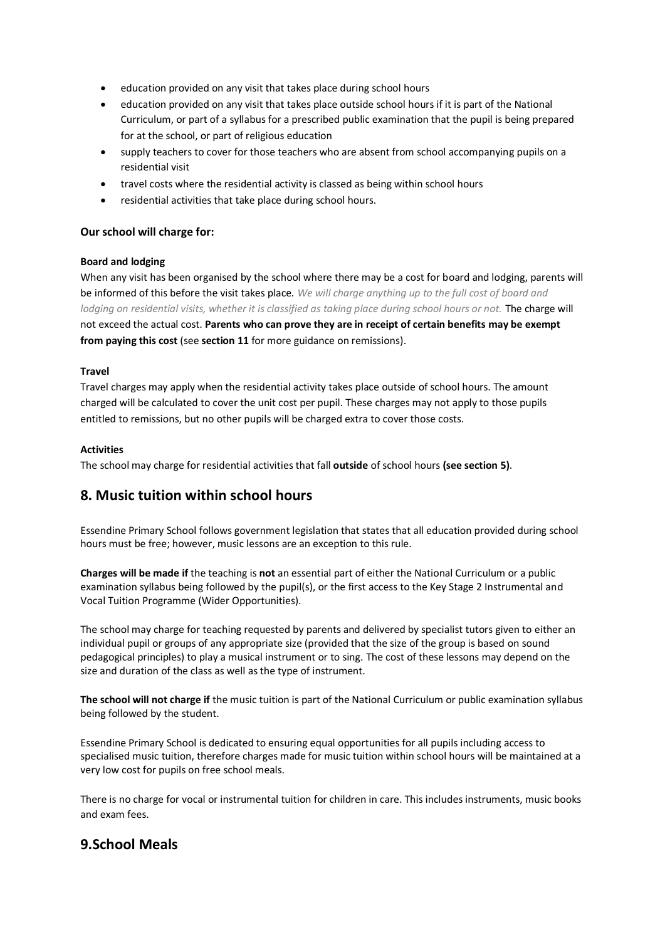- education provided on any visit that takes place during school hours
- education provided on any visit that takes place outside school hours if it is part of the National Curriculum, or part of a syllabus for a prescribed public examination that the pupil is being prepared for at the school, or part of religious education
- supply teachers to cover for those teachers who are absent from school accompanying pupils on a residential visit
- travel costs where the residential activity is classed as being within school hours
- residential activities that take place during school hours.

#### **Our school will charge for:**

#### **Board and lodging**

When any visit has been organised by the school where there may be a cost for board and lodging, parents will be informed of this before the visit takes place. *We will charge anything up to the full cost of board and*  lodging on residential visits, whether it is classified as taking place during school hours or not. **The charge will** not exceed the actual cost. **Parents who can prove they are in receipt of certain benefits may be exempt from paying this cost** (see **section 11** for more guidance on remissions).

#### **Travel**

Travel charges may apply when the residential activity takes place outside of school hours. The amount charged will be calculated to cover the unit cost per pupil. These charges may not apply to those pupils entitled to remissions, but no other pupils will be charged extra to cover those costs.

#### **Activities**

The school may charge for residential activities that fall **outside** of school hours **(see section 5)**.

## **8. Music tuition within school hours**

Essendine Primary School follows government legislation that states that all education provided during school hours must be free; however, music lessons are an exception to this rule.

**Charges will be made if** the teaching is **not** an essential part of either the National Curriculum or a public examination syllabus being followed by the pupil(s), or the first access to the Key Stage 2 Instrumental and Vocal Tuition Programme (Wider Opportunities).

The school may charge for teaching requested by parents and delivered by specialist tutors given to either an individual pupil or groups of any appropriate size (provided that the size of the group is based on sound pedagogical principles) to play a musical instrument or to sing. The cost of these lessons may depend on the size and duration of the class as well as the type of instrument.

**The school will not charge if** the music tuition is part of the National Curriculum or public examination syllabus being followed by the student.

Essendine Primary School is dedicated to ensuring equal opportunities for all pupils including access to specialised music tuition, therefore charges made for music tuition within school hours will be maintained at a very low cost for pupils on free school meals.

There is no charge for vocal or instrumental tuition for children in care. This includes instruments, music books and exam fees.

## **9.School Meals**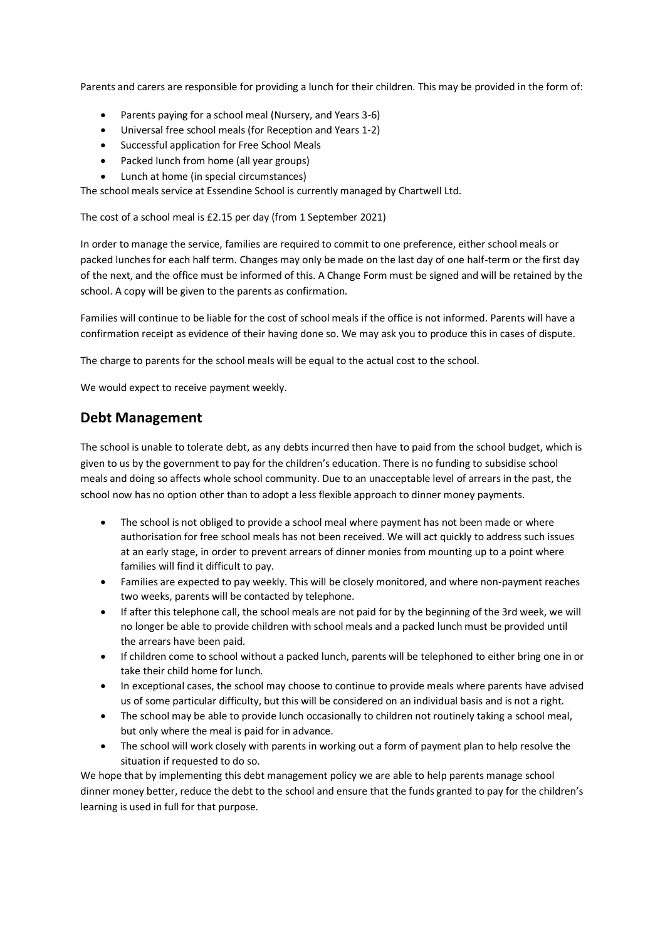Parents and carers are responsible for providing a lunch for their children. This may be provided in the form of:

- Parents paying for a school meal (Nursery, and Years 3-6)
- Universal free school meals (for Reception and Years 1-2)
- Successful application for Free School Meals
- Packed lunch from home (all year groups)
- Lunch at home (in special circumstances)

The school meals service at Essendine School is currently managed by Chartwell Ltd.

The cost of a school meal is £2.15 per day (from 1 September 2021)

In order to manage the service, families are required to commit to one preference, either school meals or packed lunches for each half term. Changes may only be made on the last day of one half-term or the first day of the next, and the office must be informed of this. A Change Form must be signed and will be retained by the school. A copy will be given to the parents as confirmation.

Families will continue to be liable for the cost of school meals if the office is not informed. Parents will have a confirmation receipt as evidence of their having done so. We may ask you to produce this in cases of dispute.

The charge to parents for the school meals will be equal to the actual cost to the school.

We would expect to receive payment weekly.

## **Debt Management**

The school is unable to tolerate debt, as any debts incurred then have to paid from the school budget, which is given to us by the government to pay for the children's education. There is no funding to subsidise school meals and doing so affects whole school community. Due to an unacceptable level of arrears in the past, the school now has no option other than to adopt a less flexible approach to dinner money payments.

- The school is not obliged to provide a school meal where payment has not been made or where authorisation for free school meals has not been received. We will act quickly to address such issues at an early stage, in order to prevent arrears of dinner monies from mounting up to a point where families will find it difficult to pay.
- Families are expected to pay weekly. This will be closely monitored, and where non-payment reaches two weeks, parents will be contacted by telephone.
- If after this telephone call, the school meals are not paid for by the beginning of the 3rd week, we will no longer be able to provide children with school meals and a packed lunch must be provided until the arrears have been paid.
- If children come to school without a packed lunch, parents will be telephoned to either bring one in or take their child home for lunch.
- In exceptional cases, the school may choose to continue to provide meals where parents have advised us of some particular difficulty, but this will be considered on an individual basis and is not a right.
- The school may be able to provide lunch occasionally to children not routinely taking a school meal, but only where the meal is paid for in advance.
- The school will work closely with parents in working out a form of payment plan to help resolve the situation if requested to do so.

We hope that by implementing this debt management policy we are able to help parents manage school dinner money better, reduce the debt to the school and ensure that the funds granted to pay for the children's learning is used in full for that purpose.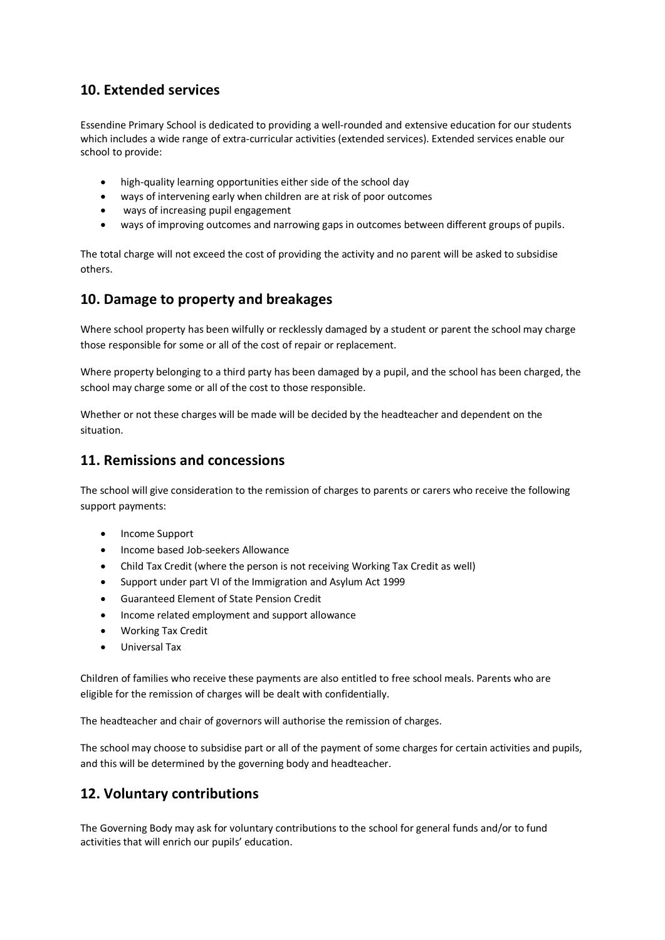## **10. Extended services**

Essendine Primary School is dedicated to providing a well-rounded and extensive education for our students which includes a wide range of extra-curricular activities (extended services). Extended services enable our school to provide:

- high-quality learning opportunities either side of the school day
- ways of intervening early when children are at risk of poor outcomes
- ways of increasing pupil engagement
- ways of improving outcomes and narrowing gaps in outcomes between different groups of pupils.

The total charge will not exceed the cost of providing the activity and no parent will be asked to subsidise others.

## **10. Damage to property and breakages**

Where school property has been wilfully or recklessly damaged by a student or parent the school may charge those responsible for some or all of the cost of repair or replacement.

Where property belonging to a third party has been damaged by a pupil, and the school has been charged, the school may charge some or all of the cost to those responsible.

Whether or not these charges will be made will be decided by the headteacher and dependent on the situation.

## **11. Remissions and concessions**

The school will give consideration to the remission of charges to parents or carers who receive the following support payments:

- Income Support
- Income based Job-seekers Allowance
- Child Tax Credit (where the person is not receiving Working Tax Credit as well)
- Support under part VI of the Immigration and Asylum Act 1999
- Guaranteed Element of State Pension Credit
- Income related employment and support allowance
- Working Tax Credit
- Universal Tax

Children of families who receive these payments are also entitled to free school meals. Parents who are eligible for the remission of charges will be dealt with confidentially.

The headteacher and chair of governors will authorise the remission of charges.

The school may choose to subsidise part or all of the payment of some charges for certain activities and pupils, and this will be determined by the governing body and headteacher.

## **12. Voluntary contributions**

The Governing Body may ask for voluntary contributions to the school for general funds and/or to fund activities that will enrich our pupils' education.